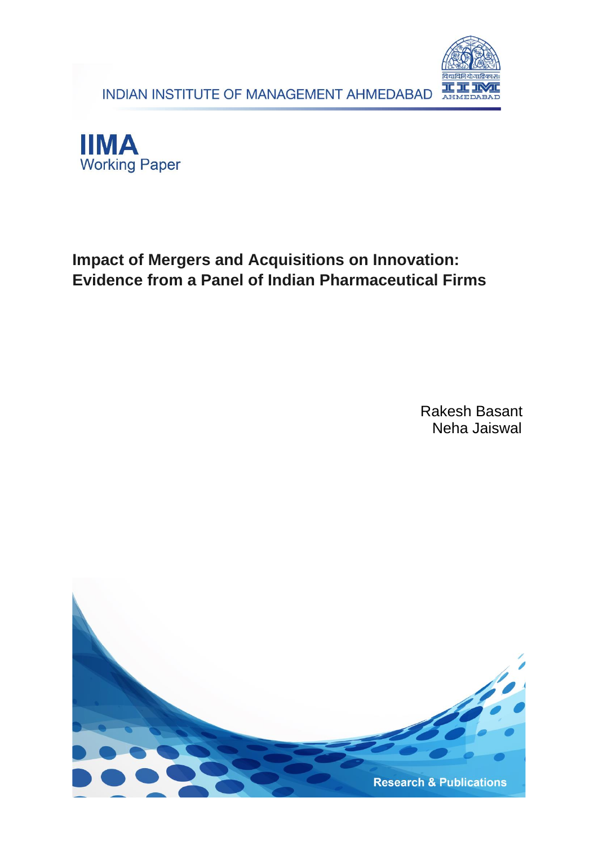





# **Impact of Mergers and Acquisitions on Innovation: Evidence from a Panel of Indian Pharmaceutical Firms**

Rakesh Basant Neha Jaiswal

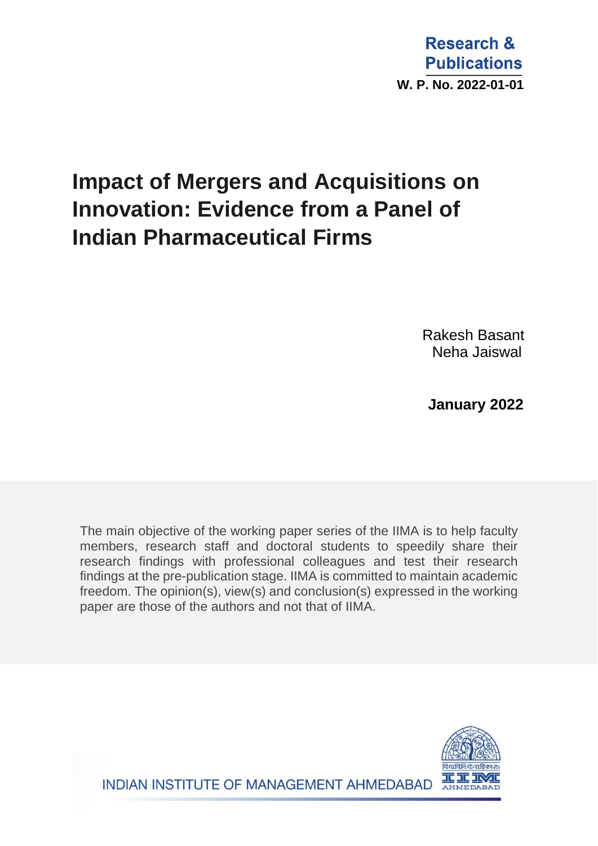**Research & Publications W. P. No. 2022-01-01**

# **Impact of Mergers and Acquisitions on Innovation: Evidence from a Panel of Indian Pharmaceutical Firms**

Rakesh Basant Neha Jaiswal

 **January 2022**

The main objective of the working paper series of the IIMA is to help faculty members, research staff and doctoral students to speedily share their research findings with professional colleagues and test their research findings at the pre-publication stage. IIMA is committed to maintain academic freedom. The opinion(s), view(s) and conclusion(s) expressed in the working paper are those of the authors and not that of IIMA.



INDIAN INSTITUTE OF MANAGEMENT AHMEDABAD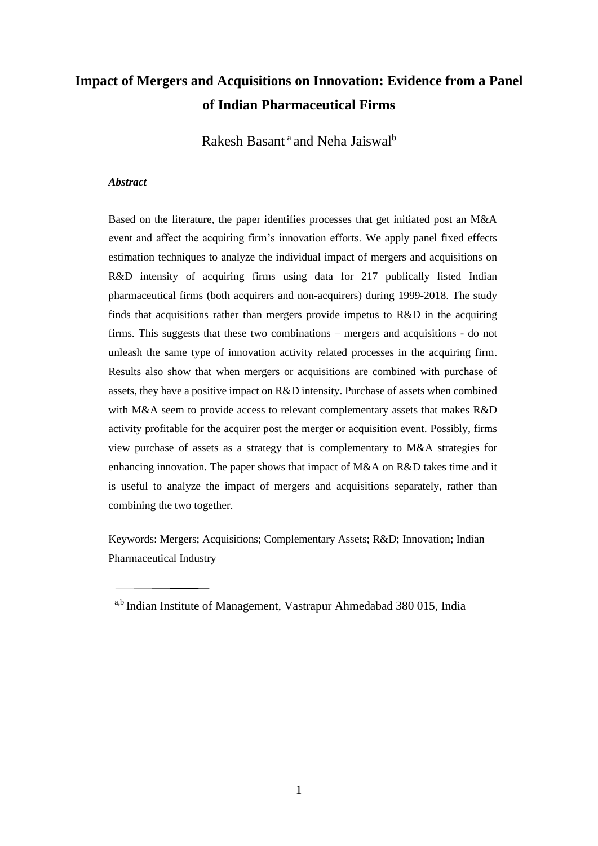# **Impact of Mergers and Acquisitions on Innovation: Evidence from a Panel of Indian Pharmaceutical Firms**

Rakesh Basant<sup>a</sup> and Neha Jaiswal<sup>b</sup>

#### *Abstract*

Based on the literature, the paper identifies processes that get initiated post an M&A event and affect the acquiring firm's innovation efforts. We apply panel fixed effects estimation techniques to analyze the individual impact of mergers and acquisitions on R&D intensity of acquiring firms using data for 217 publically listed Indian pharmaceutical firms (both acquirers and non-acquirers) during 1999-2018. The study finds that acquisitions rather than mergers provide impetus to R&D in the acquiring firms. This suggests that these two combinations – mergers and acquisitions - do not unleash the same type of innovation activity related processes in the acquiring firm. Results also show that when mergers or acquisitions are combined with purchase of assets, they have a positive impact on R&D intensity. Purchase of assets when combined with M&A seem to provide access to relevant complementary assets that makes R&D activity profitable for the acquirer post the merger or acquisition event. Possibly, firms view purchase of assets as a strategy that is complementary to M&A strategies for enhancing innovation. The paper shows that impact of M&A on R&D takes time and it is useful to analyze the impact of mergers and acquisitions separately, rather than combining the two together.

Keywords: Mergers; Acquisitions; Complementary Assets; R&D; Innovation; Indian Pharmaceutical Industry

a,b Indian Institute of Management, Vastrapur Ahmedabad 380 015, India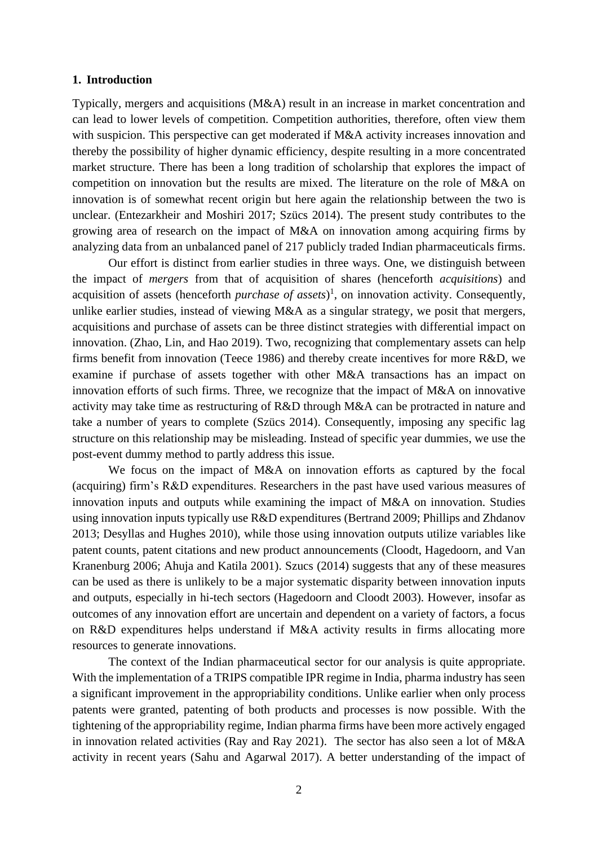#### **1. Introduction**

Typically, mergers and acquisitions (M&A) result in an increase in market concentration and can lead to lower levels of competition. Competition authorities, therefore, often view them with suspicion. This perspective can get moderated if M&A activity increases innovation and thereby the possibility of higher dynamic efficiency, despite resulting in a more concentrated market structure. There has been a long tradition of scholarship that explores the impact of competition on innovation but the results are mixed. The literature on the role of M&A on innovation is of somewhat recent origin but here again the relationship between the two is unclear. (Entezarkheir and Moshiri 2017; Szücs 2014). The present study contributes to the growing area of research on the impact of M&A on innovation among acquiring firms by analyzing data from an unbalanced panel of 217 publicly traded Indian pharmaceuticals firms.

Our effort is distinct from earlier studies in three ways. One, we distinguish between the impact of *mergers* from that of acquisition of shares (henceforth *acquisitions*) and acquisition of assets (henceforth *purchase of assets*)<sup>1</sup>, on innovation activity. Consequently, unlike earlier studies, instead of viewing M&A as a singular strategy, we posit that mergers, acquisitions and purchase of assets can be three distinct strategies with differential impact on innovation. (Zhao, Lin, and Hao 2019). Two, recognizing that complementary assets can help firms benefit from innovation (Teece 1986) and thereby create incentives for more R&D, we examine if purchase of assets together with other M&A transactions has an impact on innovation efforts of such firms. Three, we recognize that the impact of M&A on innovative activity may take time as restructuring of R&D through M&A can be protracted in nature and take a number of years to complete (Szücs 2014). Consequently, imposing any specific lag structure on this relationship may be misleading. Instead of specific year dummies, we use the post-event dummy method to partly address this issue.

We focus on the impact of M&A on innovation efforts as captured by the focal (acquiring) firm's R&D expenditures. Researchers in the past have used various measures of innovation inputs and outputs while examining the impact of M&A on innovation. Studies using innovation inputs typically use R&D expenditures (Bertrand 2009; Phillips and Zhdanov 2013; Desyllas and Hughes 2010), while those using innovation outputs utilize variables like patent counts, patent citations and new product announcements (Cloodt, Hagedoorn, and Van Kranenburg 2006; Ahuja and Katila 2001). Szucs (2014) suggests that any of these measures can be used as there is unlikely to be a major systematic disparity between innovation inputs and outputs, especially in hi-tech sectors (Hagedoorn and Cloodt 2003). However, insofar as outcomes of any innovation effort are uncertain and dependent on a variety of factors, a focus on R&D expenditures helps understand if M&A activity results in firms allocating more resources to generate innovations.

The context of the Indian pharmaceutical sector for our analysis is quite appropriate. With the implementation of a TRIPS compatible IPR regime in India, pharma industry has seen a significant improvement in the appropriability conditions. Unlike earlier when only process patents were granted, patenting of both products and processes is now possible. With the tightening of the appropriability regime, Indian pharma firms have been more actively engaged in innovation related activities (Ray and Ray 2021). The sector has also seen a lot of M&A activity in recent years (Sahu and Agarwal 2017). A better understanding of the impact of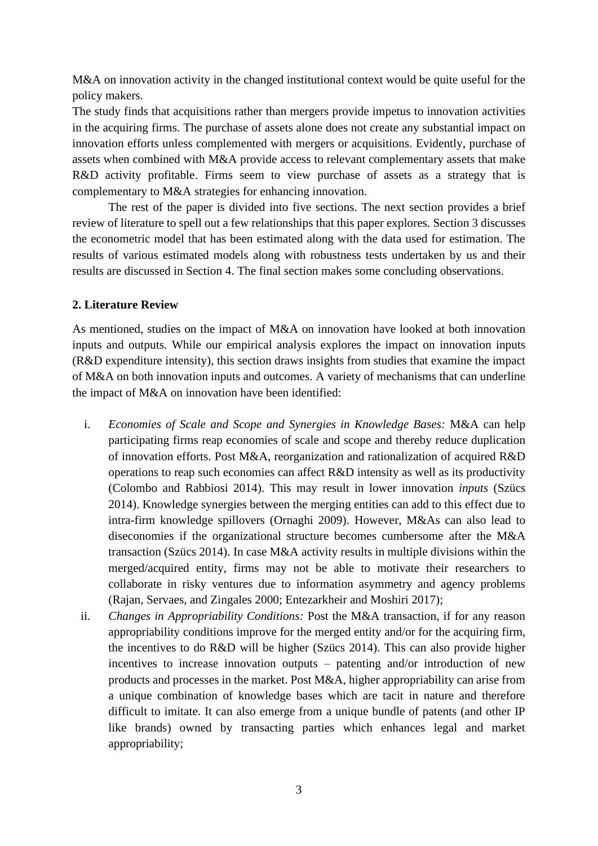M&A on innovation activity in the changed institutional context would be quite useful for the policy makers.

The study finds that acquisitions rather than mergers provide impetus to innovation activities in the acquiring firms. The purchase of assets alone does not create any substantial impact on innovation efforts unless complemented with mergers or acquisitions. Evidently, purchase of assets when combined with M&A provide access to relevant complementary assets that make R&D activity profitable. Firms seem to view purchase of assets as a strategy that is complementary to M&A strategies for enhancing innovation.

The rest of the paper is divided into five sections. The next section provides a brief review of literature to spell out a few relationships that this paper explores. Section 3 discusses the econometric model that has been estimated along with the data used for estimation. The results of various estimated models along with robustness tests undertaken by us and their results are discussed in Section 4. The final section makes some concluding observations.

# **2. Literature Review**

As mentioned, studies on the impact of M&A on innovation have looked at both innovation inputs and outputs. While our empirical analysis explores the impact on innovation inputs (R&D expenditure intensity), this section draws insights from studies that examine the impact of M&A on both innovation inputs and outcomes. A variety of mechanisms that can underline the impact of M&A on innovation have been identified:

- i. *Economies of Scale and Scope and Synergies in Knowledge Bases:* M&A can help participating firms reap economies of scale and scope and thereby reduce duplication of innovation efforts. Post M&A, reorganization and rationalization of acquired R&D operations to reap such economies can affect R&D intensity as well as its productivity (Colombo and Rabbiosi 2014). This may result in lower innovation *inputs* (Szücs 2014). Knowledge synergies between the merging entities can add to this effect due to intra-firm knowledge spillovers (Ornaghi 2009). However, M&As can also lead to diseconomies if the organizational structure becomes cumbersome after the M&A transaction (Szücs 2014). In case M&A activity results in multiple divisions within the merged/acquired entity, firms may not be able to motivate their researchers to collaborate in risky ventures due to information asymmetry and agency problems (Rajan, Servaes, and Zingales 2000; Entezarkheir and Moshiri 2017);
- ii. *Changes in Appropriability Conditions:* Post the M&A transaction, if for any reason appropriability conditions improve for the merged entity and/or for the acquiring firm, the incentives to do R&D will be higher (Szücs 2014). This can also provide higher incentives to increase innovation outputs – patenting and/or introduction of new products and processes in the market. Post M&A, higher appropriability can arise from a unique combination of knowledge bases which are tacit in nature and therefore difficult to imitate. It can also emerge from a unique bundle of patents (and other IP like brands) owned by transacting parties which enhances legal and market appropriability;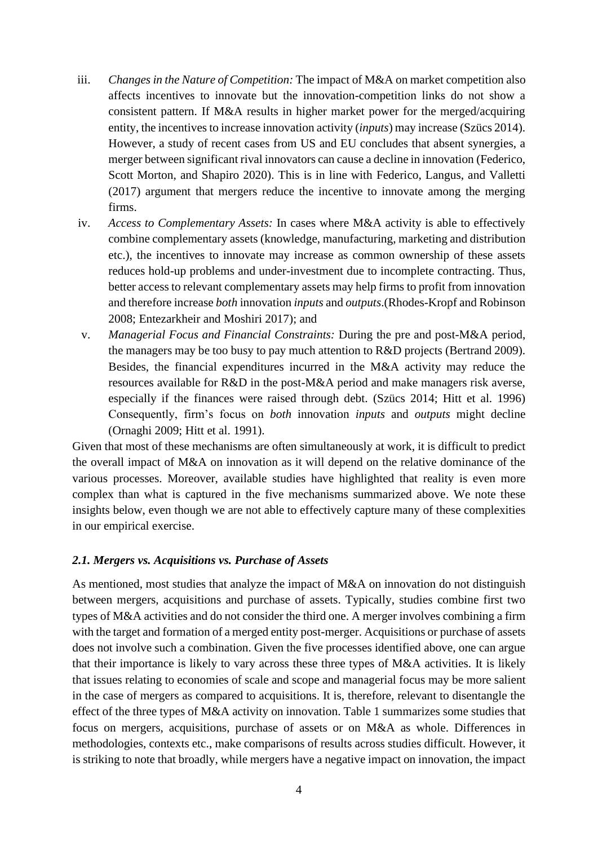- iii. *Changes in the Nature of Competition:* The impact of M&A on market competition also affects incentives to innovate but the innovation-competition links do not show a consistent pattern. If M&A results in higher market power for the merged/acquiring entity, the incentives to increase innovation activity (*inputs*) may increase (Szücs 2014). However, a study of recent cases from US and EU concludes that absent synergies, a merger between significant rival innovators can cause a decline in innovation (Federico, Scott Morton, and Shapiro 2020). This is in line with Federico, Langus, and Valletti (2017) argument that mergers reduce the incentive to innovate among the merging firms.
- iv. *Access to Complementary Assets:* In cases where M&A activity is able to effectively combine complementary assets (knowledge, manufacturing, marketing and distribution etc.), the incentives to innovate may increase as common ownership of these assets reduces hold-up problems and under-investment due to incomplete contracting. Thus, better access to relevant complementary assets may help firms to profit from innovation and therefore increase *both* innovation *inputs* and *outputs*.(Rhodes-Kropf and Robinson 2008; Entezarkheir and Moshiri 2017); and
- v. *Managerial Focus and Financial Constraints:* During the pre and post-M&A period, the managers may be too busy to pay much attention to R&D projects (Bertrand 2009). Besides, the financial expenditures incurred in the M&A activity may reduce the resources available for R&D in the post-M&A period and make managers risk averse, especially if the finances were raised through debt. (Szücs 2014; Hitt et al. 1996) Consequently, firm's focus on *both* innovation *inputs* and *outputs* might decline (Ornaghi 2009; Hitt et al. 1991).

Given that most of these mechanisms are often simultaneously at work, it is difficult to predict the overall impact of M&A on innovation as it will depend on the relative dominance of the various processes. Moreover, available studies have highlighted that reality is even more complex than what is captured in the five mechanisms summarized above. We note these insights below, even though we are not able to effectively capture many of these complexities in our empirical exercise.

# *2.1. Mergers vs. Acquisitions vs. Purchase of Assets*

As mentioned, most studies that analyze the impact of M&A on innovation do not distinguish between mergers, acquisitions and purchase of assets. Typically, studies combine first two types of M&A activities and do not consider the third one. A merger involves combining a firm with the target and formation of a merged entity post-merger. Acquisitions or purchase of assets does not involve such a combination. Given the five processes identified above, one can argue that their importance is likely to vary across these three types of M&A activities. It is likely that issues relating to economies of scale and scope and managerial focus may be more salient in the case of mergers as compared to acquisitions. It is, therefore, relevant to disentangle the effect of the three types of M&A activity on innovation. Table 1 summarizes some studies that focus on mergers, acquisitions, purchase of assets or on M&A as whole. Differences in methodologies, contexts etc., make comparisons of results across studies difficult. However, it is striking to note that broadly, while mergers have a negative impact on innovation, the impact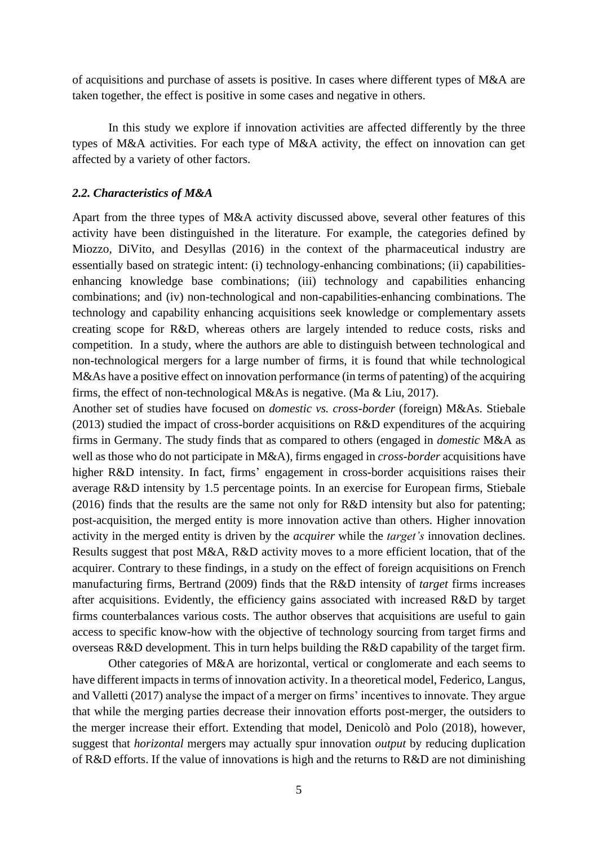of acquisitions and purchase of assets is positive. In cases where different types of M&A are taken together, the effect is positive in some cases and negative in others.

In this study we explore if innovation activities are affected differently by the three types of M&A activities. For each type of M&A activity, the effect on innovation can get affected by a variety of other factors.

#### *2.2. Characteristics of M&A*

Apart from the three types of M&A activity discussed above, several other features of this activity have been distinguished in the literature. For example, the categories defined by Miozzo, DiVito, and Desyllas (2016) in the context of the pharmaceutical industry are essentially based on strategic intent: (i) technology-enhancing combinations; (ii) capabilitiesenhancing knowledge base combinations; (iii) technology and capabilities enhancing combinations; and (iv) non-technological and non-capabilities-enhancing combinations. The technology and capability enhancing acquisitions seek knowledge or complementary assets creating scope for R&D, whereas others are largely intended to reduce costs, risks and competition. In a study, where the authors are able to distinguish between technological and non-technological mergers for a large number of firms, it is found that while technological M&As have a positive effect on innovation performance (in terms of patenting) of the acquiring firms, the effect of non-technological M&As is negative. (Ma & Liu, 2017).

Another set of studies have focused on *domestic vs. cross-border* (foreign) M&As. Stiebale (2013) studied the impact of cross-border acquisitions on R&D expenditures of the acquiring firms in Germany. The study finds that as compared to others (engaged in *domestic* M&A as well as those who do not participate in M&A), firms engaged in *cross-border* acquisitions have higher R&D intensity. In fact, firms' engagement in cross-border acquisitions raises their average R&D intensity by 1.5 percentage points. In an exercise for European firms, Stiebale (2016) finds that the results are the same not only for R&D intensity but also for patenting; post-acquisition, the merged entity is more innovation active than others. Higher innovation activity in the merged entity is driven by the *acquirer* while the *target's* innovation declines. Results suggest that post M&A, R&D activity moves to a more efficient location, that of the acquirer. Contrary to these findings, in a study on the effect of foreign acquisitions on French manufacturing firms, Bertrand (2009) finds that the R&D intensity of *target* firms increases after acquisitions. Evidently, the efficiency gains associated with increased R&D by target firms counterbalances various costs. The author observes that acquisitions are useful to gain access to specific know-how with the objective of technology sourcing from target firms and overseas R&D development. This in turn helps building the R&D capability of the target firm.

Other categories of M&A are horizontal, vertical or conglomerate and each seems to have different impacts in terms of innovation activity. In a theoretical model, Federico, Langus, and Valletti (2017) analyse the impact of a merger on firms' incentives to innovate. They argue that while the merging parties decrease their innovation efforts post-merger, the outsiders to the merger increase their effort. Extending that model, Denicolò and Polo (2018), however, suggest that *[horizontal](https://www.sciencedirect.com/topics/economics-econometrics-and-finance/horizontal-integration)* mergers may actually spur innovation *output* by reducing duplication of R&D efforts. If the value of innovations is high and the returns to R&D are not diminishing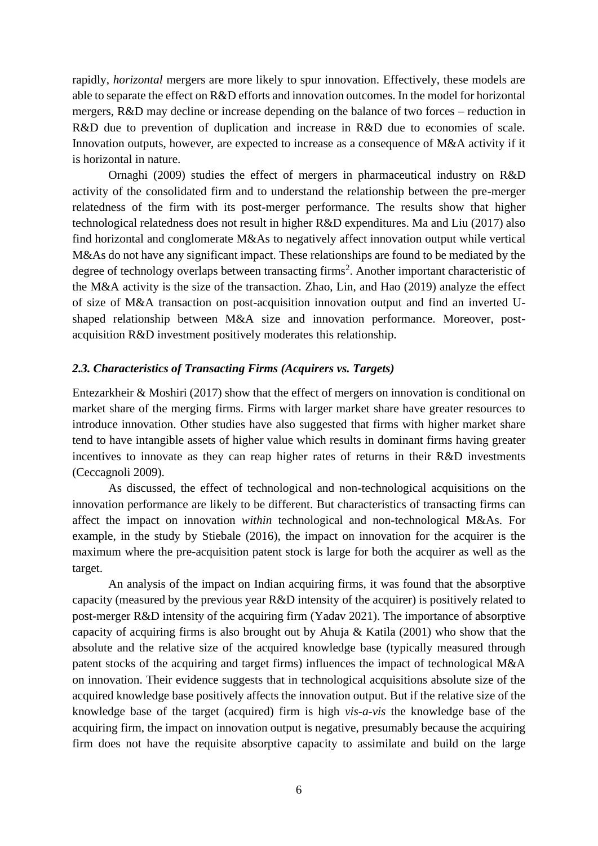rapidly, *horizontal* mergers are more likely to spur innovation. Effectively, these models are able to separate the effect on R&D efforts and innovation outcomes. In the model for horizontal mergers, R&D may decline or increase depending on the balance of two forces – reduction in R&D due to prevention of duplication and increase in R&D due to economies of scale. Innovation outputs, however, are expected to increase as a consequence of M&A activity if it is horizontal in nature.

Ornaghi (2009) studies the effect of mergers in pharmaceutical industry on R&D activity of the consolidated firm and to understand the relationship between the pre-merger relatedness of the firm with its post-merger performance. The results show that higher technological relatedness does not result in higher R&D expenditures. Ma and Liu (2017) also find horizontal and conglomerate M&As to negatively affect innovation output while vertical M&As do not have any significant impact. These relationships are found to be mediated by the degree of technology overlaps between transacting firms<sup>2</sup>. Another important characteristic of the M&A activity is the size of the transaction. Zhao, Lin, and Hao (2019) analyze the effect of size of M&A transaction on post-acquisition innovation output and find an inverted Ushaped relationship between M&A size and innovation performance. Moreover, postacquisition R&D investment positively moderates this relationship.

#### *2.3. Characteristics of Transacting Firms (Acquirers vs. Targets)*

Entezarkheir & Moshiri (2017) show that the effect of mergers on innovation is conditional on market share of the merging firms. Firms with larger market share have greater resources to introduce innovation. Other studies have also suggested that firms with higher market share tend to have intangible assets of higher value which results in dominant firms having greater incentives to innovate as they can reap higher rates of returns in their R&D investments (Ceccagnoli 2009).

As discussed, the effect of technological and non-technological acquisitions on the innovation performance are likely to be different. But characteristics of transacting firms can affect the impact on innovation *within* technological and non-technological M&As. For example, in the study by Stiebale (2016), the impact on innovation for the acquirer is the maximum where the pre-acquisition patent stock is large for both the acquirer as well as the target.

An analysis of the impact on Indian acquiring firms, it was found that the absorptive capacity (measured by the previous year R&D intensity of the acquirer) is positively related to post-merger R&D intensity of the acquiring firm (Yadav 2021). The importance of absorptive capacity of acquiring firms is also brought out by Ahuja & Katila (2001) who show that the absolute and the relative size of the acquired knowledge base (typically measured through patent stocks of the acquiring and target firms) influences the impact of technological M&A on innovation. Their evidence suggests that in technological acquisitions absolute size of the acquired knowledge base positively affects the innovation output. But if the relative size of the knowledge base of the target (acquired) firm is high *vis-a-vis* the knowledge base of the acquiring firm, the impact on innovation output is negative, presumably because the acquiring firm does not have the requisite absorptive capacity to assimilate and build on the large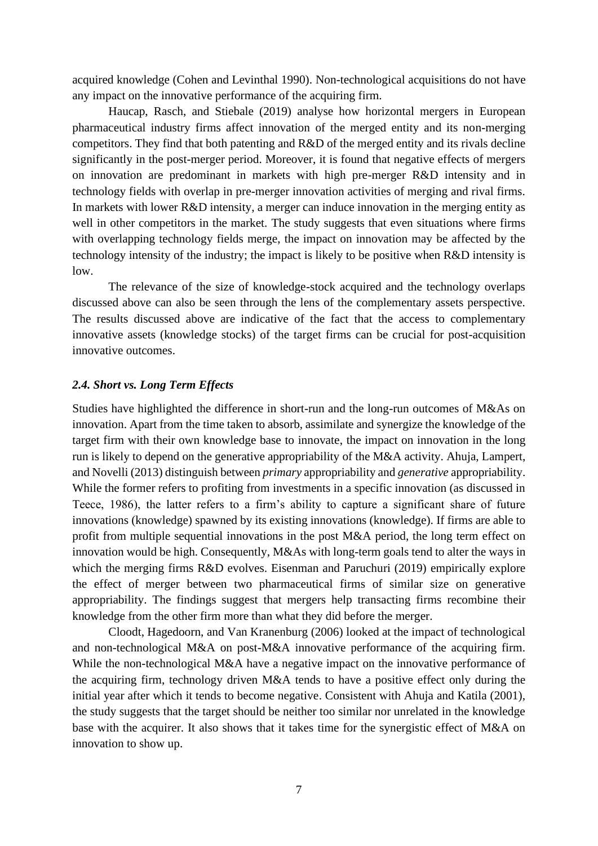acquired knowledge (Cohen and Levinthal 1990). Non-technological acquisitions do not have any impact on the innovative performance of the acquiring firm.

Haucap, Rasch, and Stiebale (2019) analyse how horizontal mergers in European pharmaceutical industry firms affect innovation of the merged entity and its non-merging competitors. They find that both patenting and R&D of the merged entity and its rivals decline significantly in the post-merger period. Moreover, it is found that negative effects of mergers on innovation are predominant in markets with high pre-merger R&D intensity and in technology fields with overlap in pre-merger innovation activities of merging and rival firms. In markets with lower R&D intensity, a merger can induce innovation in the merging entity as well in other competitors in the market. The study suggests that even situations where firms with overlapping technology fields merge, the impact on innovation may be affected by the technology intensity of the industry; the impact is likely to be positive when R&D intensity is low.

The relevance of the size of knowledge-stock acquired and the technology overlaps discussed above can also be seen through the lens of the complementary assets perspective. The results discussed above are indicative of the fact that the access to complementary innovative assets (knowledge stocks) of the target firms can be crucial for post-acquisition innovative outcomes.

## *2.4. Short vs. Long Term Effects*

Studies have highlighted the difference in short-run and the long-run outcomes of M&As on innovation. Apart from the time taken to absorb, assimilate and synergize the knowledge of the target firm with their own knowledge base to innovate, the impact on innovation in the long run is likely to depend on the generative appropriability of the M&A activity. Ahuja, Lampert, and Novelli (2013) distinguish between *primary* appropriability and *generative* appropriability. While the former refers to profiting from investments in a specific innovation (as discussed in Teece, 1986), the latter refers to a firm's ability to capture a significant share of future innovations (knowledge) spawned by its existing innovations (knowledge). If firms are able to profit from multiple sequential innovations in the post M&A period, the long term effect on innovation would be high. Consequently, M&As with long-term goals tend to alter the ways in which the merging firms R&D evolves. Eisenman and Paruchuri (2019) empirically explore the effect of merger between two pharmaceutical firms of similar size on generative appropriability. The findings suggest that mergers help transacting firms recombine their knowledge from the other firm more than what they did before the merger.

Cloodt, Hagedoorn, and Van Kranenburg (2006) looked at the impact of technological and non-technological M&A on post-M&A innovative performance of the acquiring firm. While the non-technological M&A have a negative impact on the innovative performance of the acquiring firm, technology driven M&A tends to have a positive effect only during the initial year after which it tends to become negative. Consistent with Ahuja and Katila (2001), the study suggests that the target should be neither too similar nor unrelated in the knowledge base with the acquirer. It also shows that it takes time for the synergistic effect of M&A on innovation to show up.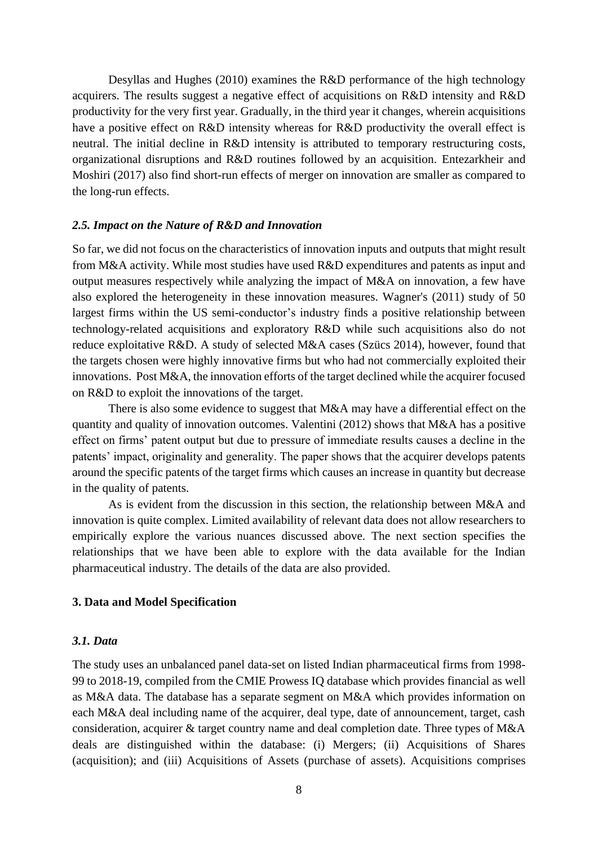Desyllas and Hughes (2010) examines the R&D performance of the high technology acquirers. The results suggest a negative effect of acquisitions on R&D intensity and R&D productivity for the very first year. Gradually, in the third year it changes, wherein acquisitions have a positive effect on R&D intensity whereas for R&D productivity the overall effect is neutral. The initial decline in R&D intensity is attributed to temporary restructuring costs, organizational disruptions and R&D routines followed by an acquisition. Entezarkheir and Moshiri (2017) also find short-run effects of merger on innovation are smaller as compared to the long-run effects.

#### *2.5. Impact on the Nature of R&D and Innovation*

So far, we did not focus on the characteristics of innovation inputs and outputs that might result from M&A activity. While most studies have used R&D expenditures and patents as input and output measures respectively while analyzing the impact of M&A on innovation, a few have also explored the heterogeneity in these innovation measures. Wagner's (2011) study of 50 largest firms within the US semi-conductor's industry finds a positive relationship between technology-related acquisitions and exploratory R&D while such acquisitions also do not reduce exploitative R&D. A study of selected M&A cases (Szücs 2014), however, found that the targets chosen were highly innovative firms but who had not commercially exploited their innovations. Post M&A, the innovation efforts of the target declined while the acquirer focused on R&D to exploit the innovations of the target.

There is also some evidence to suggest that M&A may have a differential effect on the quantity and quality of innovation outcomes. Valentini (2012) shows that M&A has a positive effect on firms' patent output but due to pressure of immediate results causes a decline in the patents' impact, originality and generality. The paper shows that the acquirer develops patents around the specific patents of the target firms which causes an increase in quantity but decrease in the quality of patents.

As is evident from the discussion in this section, the relationship between M&A and innovation is quite complex. Limited availability of relevant data does not allow researchers to empirically explore the various nuances discussed above. The next section specifies the relationships that we have been able to explore with the data available for the Indian pharmaceutical industry. The details of the data are also provided.

#### **3. Data and Model Specification**

#### *3.1. Data*

The study uses an unbalanced panel data-set on listed Indian pharmaceutical firms from 1998- 99 to 2018-19, compiled from the CMIE Prowess IQ database which provides financial as well as M&A data. The database has a separate segment on M&A which provides information on each M&A deal including name of the acquirer, deal type, date of announcement, target, cash consideration, acquirer & target country name and deal completion date. Three types of M&A deals are distinguished within the database: (i) Mergers; (ii) Acquisitions of Shares (acquisition); and (iii) Acquisitions of Assets (purchase of assets). Acquisitions comprises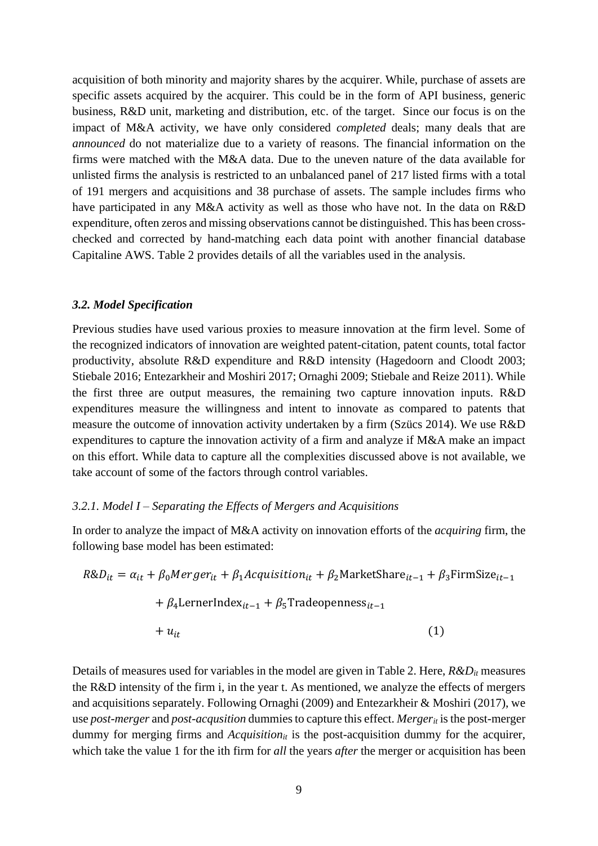acquisition of both minority and majority shares by the acquirer. While, purchase of assets are specific assets acquired by the acquirer. This could be in the form of API business, generic business, R&D unit, marketing and distribution, etc. of the target. Since our focus is on the impact of M&A activity, we have only considered *completed* deals; many deals that are *announced* do not materialize due to a variety of reasons. The financial information on the firms were matched with the M&A data. Due to the uneven nature of the data available for unlisted firms the analysis is restricted to an unbalanced panel of 217 listed firms with a total of 191 mergers and acquisitions and 38 purchase of assets. The sample includes firms who have participated in any M&A activity as well as those who have not. In the data on R&D expenditure, often zeros and missing observations cannot be distinguished. This has been crosschecked and corrected by hand-matching each data point with another financial database Capitaline AWS. Table 2 provides details of all the variables used in the analysis.

#### *3.2. Model Specification*

Previous studies have used various proxies to measure innovation at the firm level. Some of the recognized indicators of innovation are weighted patent-citation, patent counts, total factor productivity, absolute R&D expenditure and R&D intensity (Hagedoorn and Cloodt 2003; Stiebale 2016; Entezarkheir and Moshiri 2017; Ornaghi 2009; Stiebale and Reize 2011). While the first three are output measures, the remaining two capture innovation inputs. R&D expenditures measure the willingness and intent to innovate as compared to patents that measure the outcome of innovation activity undertaken by a firm (Szücs 2014). We use R&D expenditures to capture the innovation activity of a firm and analyze if M&A make an impact on this effort. While data to capture all the complexities discussed above is not available, we take account of some of the factors through control variables.

#### *3.2.1. Model I – Separating the Effects of Mergers and Acquisitions*

In order to analyze the impact of M&A activity on innovation efforts of the *acquiring* firm, the following base model has been estimated:

$$
R&D_{it} = \alpha_{it} + \beta_0 Merger_{it} + \beta_1 Aequistion_{it} + \beta_2 MarketShare_{it-1} + \beta_3 \text{FirmSize}_{it-1}
$$
\n
$$
+ \beta_4 \text{LernerIndex}_{it-1} + \beta_5 \text{Tradeopenness}_{it-1}
$$
\n
$$
+ u_{it}
$$
\n
$$
(1)
$$

Details of measures used for variables in the model are given in Table 2. Here, *R&Dit* measures the R&D intensity of the firm i, in the year t. As mentioned, we analyze the effects of mergers and acquisitions separately. Following Ornaghi (2009) and Entezarkheir & Moshiri (2017), we use *post-merger* and *post-acqusition* dummies to capture this effect. *Mergerit* is the post-merger dummy for merging firms and *Acquisition*<sub>it</sub> is the post-acquisition dummy for the acquirer, which take the value 1 for the ith firm for *all* the years *after* the merger or acquisition has been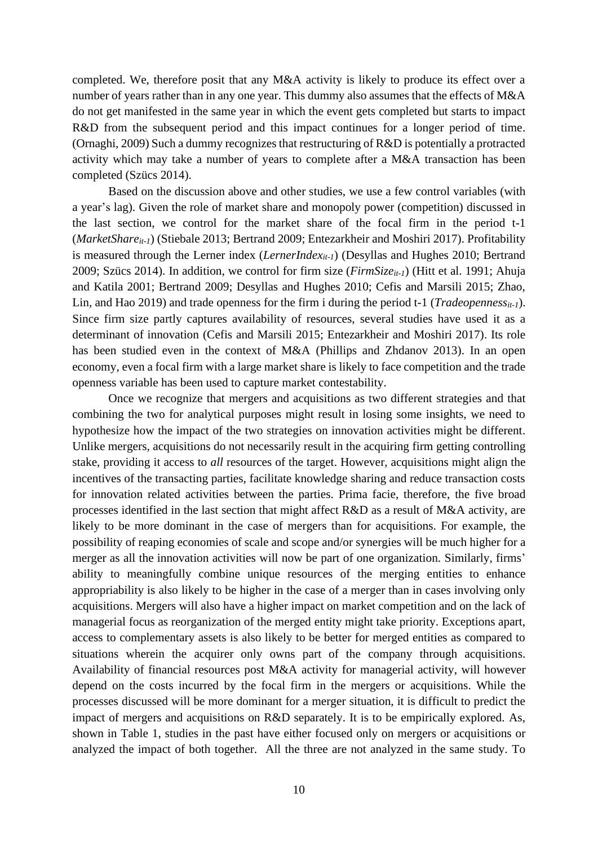completed. We, therefore posit that any M&A activity is likely to produce its effect over a number of years rather than in any one year. This dummy also assumes that the effects of M&A do not get manifested in the same year in which the event gets completed but starts to impact R&D from the subsequent period and this impact continues for a longer period of time. (Ornaghi, 2009) Such a dummy recognizes that restructuring of R&D is potentially a protracted activity which may take a number of years to complete after a M&A transaction has been completed (Szücs 2014).

Based on the discussion above and other studies, we use a few control variables (with a year's lag). Given the role of market share and monopoly power (competition) discussed in the last section, we control for the market share of the focal firm in the period t-1 (*MarketShareit-1*) (Stiebale 2013; Bertrand 2009; Entezarkheir and Moshiri 2017). Profitability is measured through the Lerner index (*LernerIndexit-1*) (Desyllas and Hughes 2010; Bertrand 2009; Szücs 2014). In addition, we control for firm size (*FirmSizeit-1*) (Hitt et al. 1991; Ahuja and Katila 2001; Bertrand 2009; Desyllas and Hughes 2010; Cefis and Marsili 2015; Zhao, Lin, and Hao 2019) and trade openness for the firm i during the period t-1 (*Tradeopennessit-1*). Since firm size partly captures availability of resources, several studies have used it as a determinant of innovation (Cefis and Marsili 2015; Entezarkheir and Moshiri 2017). Its role has been studied even in the context of M&A (Phillips and Zhdanov 2013). In an open economy, even a focal firm with a large market share is likely to face competition and the trade openness variable has been used to capture market contestability.

Once we recognize that mergers and acquisitions as two different strategies and that combining the two for analytical purposes might result in losing some insights, we need to hypothesize how the impact of the two strategies on innovation activities might be different. Unlike mergers, acquisitions do not necessarily result in the acquiring firm getting controlling stake, providing it access to *all* resources of the target. However, acquisitions might align the incentives of the transacting parties, facilitate knowledge sharing and reduce transaction costs for innovation related activities between the parties. Prima facie, therefore, the five broad processes identified in the last section that might affect R&D as a result of M&A activity, are likely to be more dominant in the case of mergers than for acquisitions. For example, the possibility of reaping economies of scale and scope and/or synergies will be much higher for a merger as all the innovation activities will now be part of one organization. Similarly, firms' ability to meaningfully combine unique resources of the merging entities to enhance appropriability is also likely to be higher in the case of a merger than in cases involving only acquisitions. Mergers will also have a higher impact on market competition and on the lack of managerial focus as reorganization of the merged entity might take priority. Exceptions apart, access to complementary assets is also likely to be better for merged entities as compared to situations wherein the acquirer only owns part of the company through acquisitions. Availability of financial resources post M&A activity for managerial activity, will however depend on the costs incurred by the focal firm in the mergers or acquisitions. While the processes discussed will be more dominant for a merger situation, it is difficult to predict the impact of mergers and acquisitions on R&D separately. It is to be empirically explored. As, shown in Table 1, studies in the past have either focused only on mergers or acquisitions or analyzed the impact of both together. All the three are not analyzed in the same study. To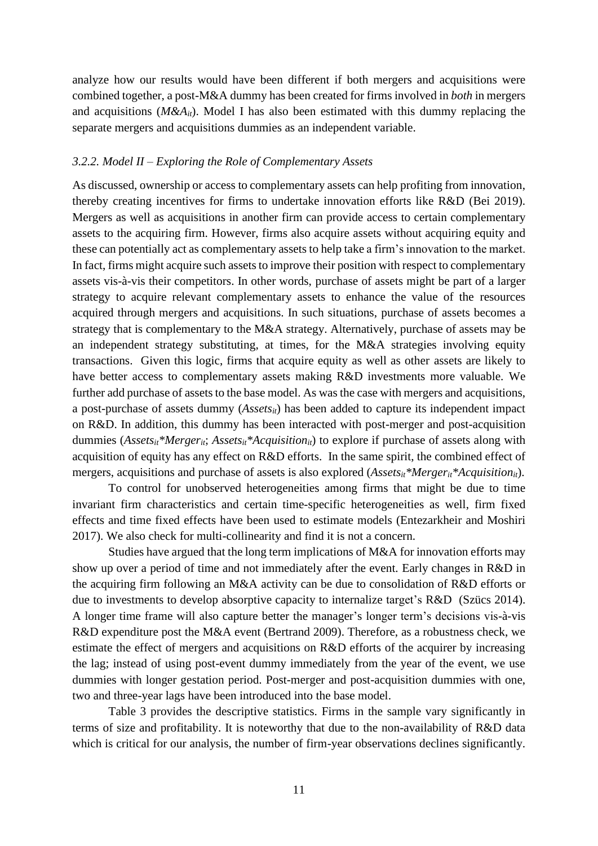analyze how our results would have been different if both mergers and acquisitions were combined together, a post-M&A dummy has been created for firms involved in *both* in mergers and acquisitions ( $M\&A_{it}$ ). Model I has also been estimated with this dummy replacing the separate mergers and acquisitions dummies as an independent variable.

#### *3.2.2. Model II – Exploring the Role of Complementary Assets*

As discussed, ownership or access to complementary assets can help profiting from innovation, thereby creating incentives for firms to undertake innovation efforts like R&D (Bei 2019). Mergers as well as acquisitions in another firm can provide access to certain complementary assets to the acquiring firm. However, firms also acquire assets without acquiring equity and these can potentially act as complementary assets to help take a firm's innovation to the market. In fact, firms might acquire such assets to improve their position with respect to complementary assets vis-à-vis their competitors. In other words, purchase of assets might be part of a larger strategy to acquire relevant complementary assets to enhance the value of the resources acquired through mergers and acquisitions. In such situations, purchase of assets becomes a strategy that is complementary to the M&A strategy. Alternatively, purchase of assets may be an independent strategy substituting, at times, for the M&A strategies involving equity transactions. Given this logic, firms that acquire equity as well as other assets are likely to have better access to complementary assets making R&D investments more valuable. We further add purchase of assets to the base model. As was the case with mergers and acquisitions, a post-purchase of assets dummy (*Assetsit*) has been added to capture its independent impact on R&D. In addition, this dummy has been interacted with post-merger and post-acquisition dummies (*Assetsit\*Mergerit*; *Assetsit\*Acquisitionit*) to explore if purchase of assets along with acquisition of equity has any effect on R&D efforts. In the same spirit, the combined effect of mergers, acquisitions and purchase of assets is also explored (*Assetsit\*Mergerit\*Acquisitionit*).

To control for unobserved heterogeneities among firms that might be due to time invariant firm characteristics and certain time-specific heterogeneities as well, firm fixed effects and time fixed effects have been used to estimate models (Entezarkheir and Moshiri 2017). We also check for multi-collinearity and find it is not a concern.

Studies have argued that the long term implications of M&A for innovation efforts may show up over a period of time and not immediately after the event. Early changes in R&D in the acquiring firm following an M&A activity can be due to consolidation of R&D efforts or due to investments to develop absorptive capacity to internalize target's R&D (Szücs 2014). A longer time frame will also capture better the manager's longer term's decisions vis-à-vis R&D expenditure post the M&A event (Bertrand 2009). Therefore, as a robustness check, we estimate the effect of mergers and acquisitions on R&D efforts of the acquirer by increasing the lag; instead of using post-event dummy immediately from the year of the event, we use dummies with longer gestation period. Post-merger and post-acquisition dummies with one, two and three-year lags have been introduced into the base model.

Table 3 provides the descriptive statistics. Firms in the sample vary significantly in terms of size and profitability. It is noteworthy that due to the non-availability of R&D data which is critical for our analysis, the number of firm-year observations declines significantly.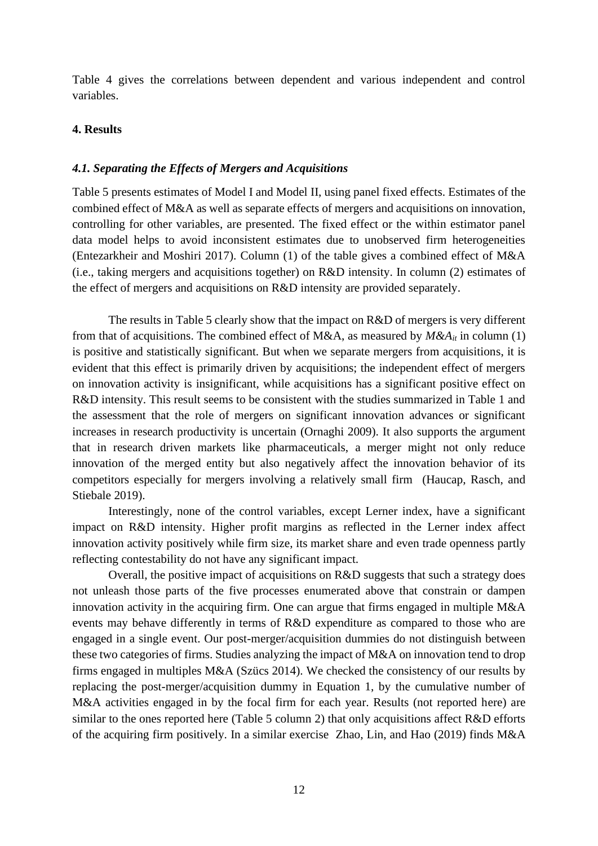Table 4 gives the correlations between dependent and various independent and control variables.

## **4. Results**

#### *4.1. Separating the Effects of Mergers and Acquisitions*

Table 5 presents estimates of Model I and Model II, using panel fixed effects. Estimates of the combined effect of M&A as well as separate effects of mergers and acquisitions on innovation, controlling for other variables, are presented. The fixed effect or the within estimator panel data model helps to avoid inconsistent estimates due to unobserved firm heterogeneities (Entezarkheir and Moshiri 2017). Column (1) of the table gives a combined effect of M&A (i.e., taking mergers and acquisitions together) on R&D intensity. In column (2) estimates of the effect of mergers and acquisitions on R&D intensity are provided separately.

The results in Table 5 clearly show that the impact on R&D of mergers is very different from that of acquisitions. The combined effect of M&A, as measured by  $M\&A_i$  in column (1) is positive and statistically significant. But when we separate mergers from acquisitions, it is evident that this effect is primarily driven by acquisitions; the independent effect of mergers on innovation activity is insignificant, while acquisitions has a significant positive effect on R&D intensity. This result seems to be consistent with the studies summarized in Table 1 and the assessment that the role of mergers on significant innovation advances or significant increases in research productivity is uncertain (Ornaghi 2009). It also supports the argument that in research driven markets like pharmaceuticals, a merger might not only reduce innovation of the merged entity but also negatively affect the innovation behavior of its competitors especially for mergers involving a relatively small firm (Haucap, Rasch, and Stiebale 2019).

Interestingly, none of the control variables, except Lerner index, have a significant impact on R&D intensity. Higher profit margins as reflected in the Lerner index affect innovation activity positively while firm size, its market share and even trade openness partly reflecting contestability do not have any significant impact.

Overall, the positive impact of acquisitions on R&D suggests that such a strategy does not unleash those parts of the five processes enumerated above that constrain or dampen innovation activity in the acquiring firm. One can argue that firms engaged in multiple M&A events may behave differently in terms of R&D expenditure as compared to those who are engaged in a single event. Our post-merger/acquisition dummies do not distinguish between these two categories of firms. Studies analyzing the impact of M&A on innovation tend to drop firms engaged in multiples M&A (Szücs 2014). We checked the consistency of our results by replacing the post-merger/acquisition dummy in Equation 1, by the cumulative number of M&A activities engaged in by the focal firm for each year. Results (not reported here) are similar to the ones reported here (Table 5 column 2) that only acquisitions affect R&D efforts of the acquiring firm positively. In a similar exercise Zhao, Lin, and Hao (2019) finds M&A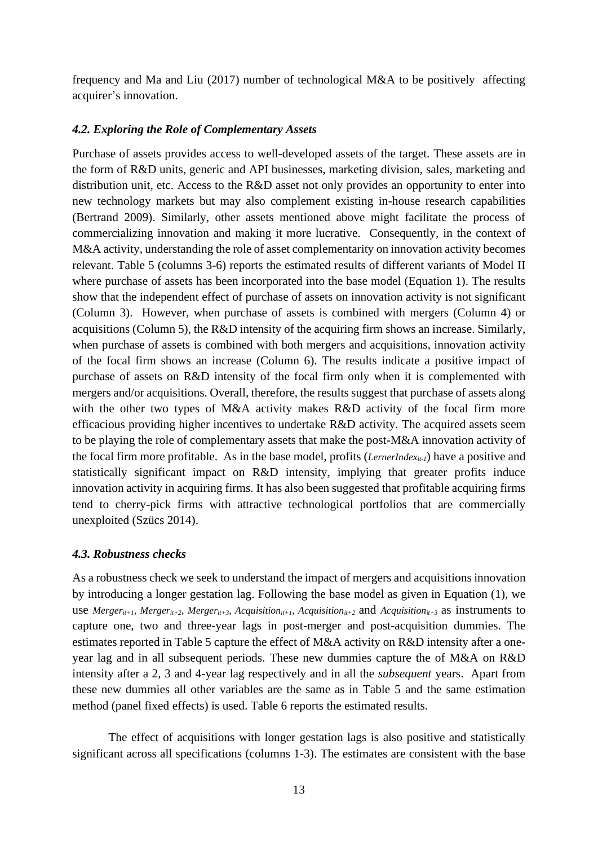frequency and Ma and Liu (2017) number of technological M&A to be positively affecting acquirer's innovation.

## *4.2. Exploring the Role of Complementary Assets*

Purchase of assets provides access to well-developed assets of the target. These assets are in the form of R&D units, generic and API businesses, marketing division, sales, marketing and distribution unit, etc. Access to the R&D asset not only provides an opportunity to enter into new technology markets but may also complement existing in-house research capabilities (Bertrand 2009). Similarly, other assets mentioned above might facilitate the process of commercializing innovation and making it more lucrative. Consequently, in the context of M&A activity, understanding the role of asset complementarity on innovation activity becomes relevant. Table 5 (columns 3-6) reports the estimated results of different variants of Model II where purchase of assets has been incorporated into the base model (Equation 1). The results show that the independent effect of purchase of assets on innovation activity is not significant (Column 3). However, when purchase of assets is combined with mergers (Column 4) or acquisitions (Column 5), the R&D intensity of the acquiring firm shows an increase. Similarly, when purchase of assets is combined with both mergers and acquisitions, innovation activity of the focal firm shows an increase (Column 6). The results indicate a positive impact of purchase of assets on R&D intensity of the focal firm only when it is complemented with mergers and/or acquisitions. Overall, therefore, the results suggest that purchase of assets along with the other two types of M&A activity makes R&D activity of the focal firm more efficacious providing higher incentives to undertake R&D activity. The acquired assets seem to be playing the role of complementary assets that make the post-M&A innovation activity of the focal firm more profitable. As in the base model, profits (*LernerIndexit-1*) have a positive and statistically significant impact on R&D intensity, implying that greater profits induce innovation activity in acquiring firms. It has also been suggested that profitable acquiring firms tend to cherry-pick firms with attractive technological portfolios that are commercially unexploited (Szücs 2014).

#### *4.3. Robustness checks*

As a robustness check we seek to understand the impact of mergers and acquisitions innovation by introducing a longer gestation lag. Following the base model as given in Equation (1), we use *Merger<sub>it+1</sub>*, *Merger<sub>it+2</sub>*, *Merger<sub>it+3</sub>*, *Acquisition<sub>it+1</sub>*, *Acquisition<sub>it+2</sub>* and *Acquisition<sub>it+3</sub>* as instruments to capture one, two and three-year lags in post-merger and post-acquisition dummies. The estimates reported in Table 5 capture the effect of M&A activity on R&D intensity after a oneyear lag and in all subsequent periods. These new dummies capture the of M&A on R&D intensity after a 2, 3 and 4-year lag respectively and in all the *subsequent* years. Apart from these new dummies all other variables are the same as in Table 5 and the same estimation method (panel fixed effects) is used. Table 6 reports the estimated results.

The effect of acquisitions with longer gestation lags is also positive and statistically significant across all specifications (columns 1-3). The estimates are consistent with the base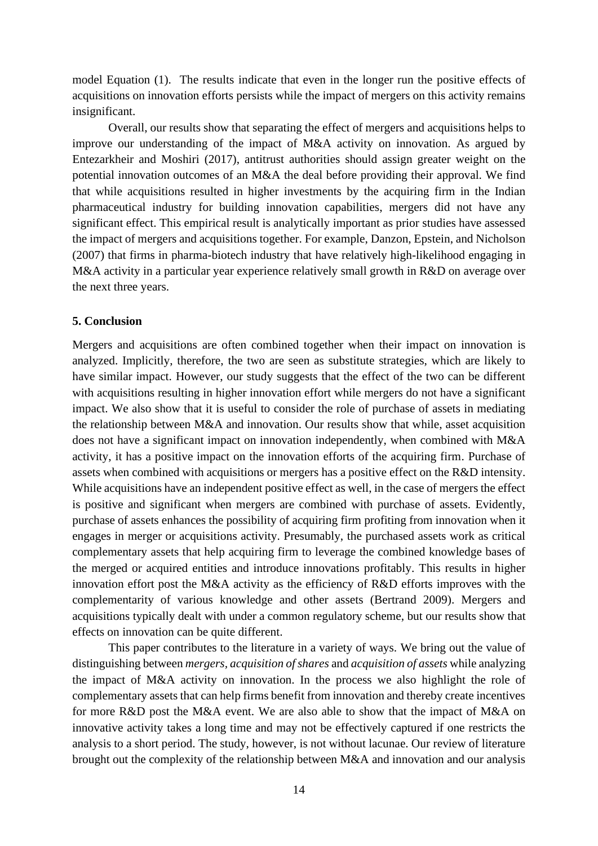model Equation (1). The results indicate that even in the longer run the positive effects of acquisitions on innovation efforts persists while the impact of mergers on this activity remains insignificant.

Overall, our results show that separating the effect of mergers and acquisitions helps to improve our understanding of the impact of M&A activity on innovation. As argued by Entezarkheir and Moshiri (2017), antitrust authorities should assign greater weight on the potential innovation outcomes of an M&A the deal before providing their approval. We find that while acquisitions resulted in higher investments by the acquiring firm in the Indian pharmaceutical industry for building innovation capabilities, mergers did not have any significant effect. This empirical result is analytically important as prior studies have assessed the impact of mergers and acquisitions together. For example, Danzon, Epstein, and Nicholson (2007) that firms in pharma-biotech industry that have relatively high-likelihood engaging in M&A activity in a particular year experience relatively small growth in R&D on average over the next three years.

#### **5. Conclusion**

Mergers and acquisitions are often combined together when their impact on innovation is analyzed. Implicitly, therefore, the two are seen as substitute strategies, which are likely to have similar impact. However, our study suggests that the effect of the two can be different with acquisitions resulting in higher innovation effort while mergers do not have a significant impact. We also show that it is useful to consider the role of purchase of assets in mediating the relationship between M&A and innovation. Our results show that while, asset acquisition does not have a significant impact on innovation independently, when combined with M&A activity, it has a positive impact on the innovation efforts of the acquiring firm. Purchase of assets when combined with acquisitions or mergers has a positive effect on the R&D intensity. While acquisitions have an independent positive effect as well, in the case of mergers the effect is positive and significant when mergers are combined with purchase of assets. Evidently, purchase of assets enhances the possibility of acquiring firm profiting from innovation when it engages in merger or acquisitions activity. Presumably, the purchased assets work as critical complementary assets that help acquiring firm to leverage the combined knowledge bases of the merged or acquired entities and introduce innovations profitably. This results in higher innovation effort post the M&A activity as the efficiency of R&D efforts improves with the complementarity of various knowledge and other assets (Bertrand 2009). Mergers and acquisitions typically dealt with under a common regulatory scheme, but our results show that effects on innovation can be quite different.

This paper contributes to the literature in a variety of ways. We bring out the value of distinguishing between *mergers, acquisition of shares* and *acquisition of assets* while analyzing the impact of M&A activity on innovation. In the process we also highlight the role of complementary assets that can help firms benefit from innovation and thereby create incentives for more R&D post the M&A event. We are also able to show that the impact of M&A on innovative activity takes a long time and may not be effectively captured if one restricts the analysis to a short period. The study, however, is not without lacunae. Our review of literature brought out the complexity of the relationship between M&A and innovation and our analysis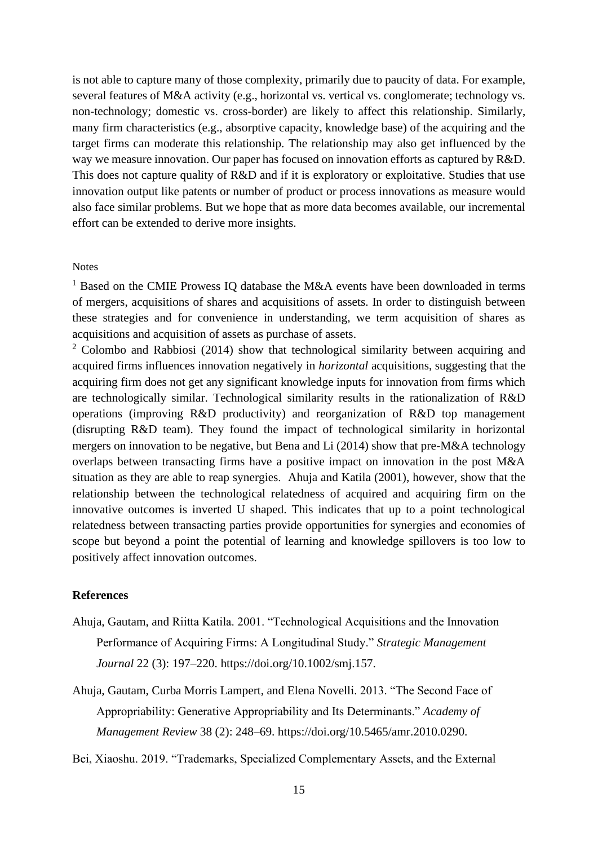is not able to capture many of those complexity, primarily due to paucity of data. For example, several features of M&A activity (e.g., horizontal vs. vertical vs. conglomerate; technology vs. non-technology; domestic vs. cross-border) are likely to affect this relationship. Similarly, many firm characteristics (e.g., absorptive capacity, knowledge base) of the acquiring and the target firms can moderate this relationship. The relationship may also get influenced by the way we measure innovation. Our paper has focused on innovation efforts as captured by R&D. This does not capture quality of R&D and if it is exploratory or exploitative. Studies that use innovation output like patents or number of product or process innovations as measure would also face similar problems. But we hope that as more data becomes available, our incremental effort can be extended to derive more insights.

#### **Notes**

<sup>1</sup> Based on the CMIE Prowess IQ database the M&A events have been downloaded in terms of mergers, acquisitions of shares and acquisitions of assets. In order to distinguish between these strategies and for convenience in understanding, we term acquisition of shares as acquisitions and acquisition of assets as purchase of assets.

<sup>2</sup> Colombo and Rabbiosi (2014) show that technological similarity between acquiring and acquired firms influences innovation negatively in *horizontal* acquisitions, suggesting that the acquiring firm does not get any significant knowledge inputs for innovation from firms which are technologically similar. Technological similarity results in the rationalization of R&D operations (improving R&D productivity) and reorganization of R&D top management (disrupting R&D team). They found the impact of technological similarity in horizontal mergers on innovation to be negative, but Bena and Li (2014) show that pre-M&A technology overlaps between transacting firms have a positive impact on innovation in the post M&A situation as they are able to reap synergies. Ahuja and Katila (2001), however, show that the relationship between the technological relatedness of acquired and acquiring firm on the innovative outcomes is inverted U shaped. This indicates that up to a point technological relatedness between transacting parties provide opportunities for synergies and economies of scope but beyond a point the potential of learning and knowledge spillovers is too low to positively affect innovation outcomes.

#### **References**

- Ahuja, Gautam, and Riitta Katila. 2001. "Technological Acquisitions and the Innovation Performance of Acquiring Firms: A Longitudinal Study." *Strategic Management Journal* 22 (3): 197–220. https://doi.org/10.1002/smj.157.
- Ahuja, Gautam, Curba Morris Lampert, and Elena Novelli. 2013. "The Second Face of Appropriability: Generative Appropriability and Its Determinants." *Academy of Management Review* 38 (2): 248–69. https://doi.org/10.5465/amr.2010.0290.
- Bei, Xiaoshu. 2019. "Trademarks, Specialized Complementary Assets, and the External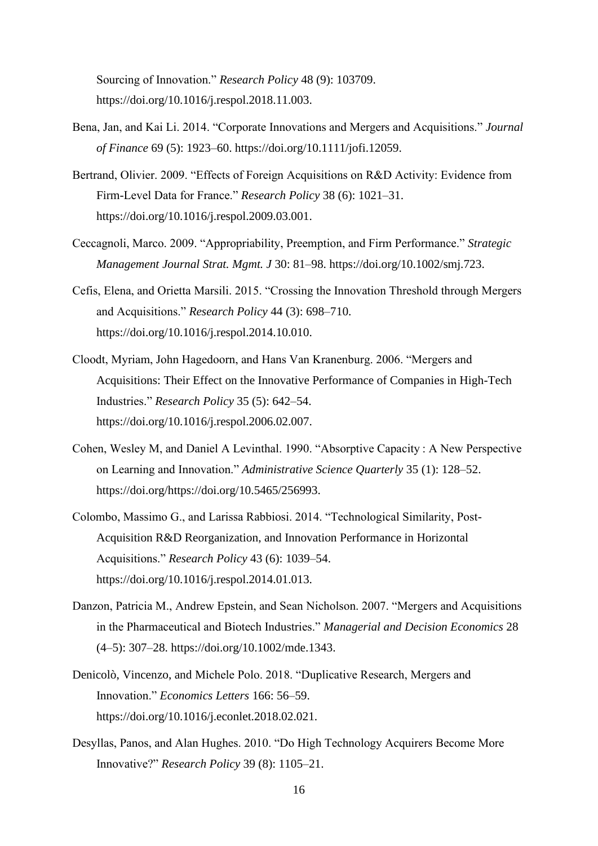Sourcing of Innovation." *Research Policy* 48 (9): 103709. https://doi.org/10.1016/j.respol.2018.11.003.

- Bena, Jan, and Kai Li. 2014. "Corporate Innovations and Mergers and Acquisitions." *Journal of Finance* 69 (5): 1923–60. https://doi.org/10.1111/jofi.12059.
- Bertrand, Olivier. 2009. "Effects of Foreign Acquisitions on R&D Activity: Evidence from Firm-Level Data for France." *Research Policy* 38 (6): 1021–31. https://doi.org/10.1016/j.respol.2009.03.001.
- Ceccagnoli, Marco. 2009. "Appropriability, Preemption, and Firm Performance." *Strategic Management Journal Strat. Mgmt. J* 30: 81–98. https://doi.org/10.1002/smj.723.
- Cefis, Elena, and Orietta Marsili. 2015. "Crossing the Innovation Threshold through Mergers and Acquisitions." *Research Policy* 44 (3): 698–710. https://doi.org/10.1016/j.respol.2014.10.010.
- Cloodt, Myriam, John Hagedoorn, and Hans Van Kranenburg. 2006. "Mergers and Acquisitions: Their Effect on the Innovative Performance of Companies in High-Tech Industries." *Research Policy* 35 (5): 642–54. https://doi.org/10.1016/j.respol.2006.02.007.
- Cohen, Wesley M, and Daniel A Levinthal. 1990. "Absorptive Capacity : A New Perspective on Learning and Innovation." *Administrative Science Quarterly* 35 (1): 128–52. https://doi.org/https://doi.org/10.5465/256993.
- Colombo, Massimo G., and Larissa Rabbiosi. 2014. "Technological Similarity, Post-Acquisition R&D Reorganization, and Innovation Performance in Horizontal Acquisitions." *Research Policy* 43 (6): 1039–54. https://doi.org/10.1016/j.respol.2014.01.013.
- Danzon, Patricia M., Andrew Epstein, and Sean Nicholson. 2007. "Mergers and Acquisitions in the Pharmaceutical and Biotech Industries." *Managerial and Decision Economics* 28 (4–5): 307–28. https://doi.org/10.1002/mde.1343.
- Denicolò, Vincenzo, and Michele Polo. 2018. "Duplicative Research, Mergers and Innovation." *Economics Letters* 166: 56–59. https://doi.org/10.1016/j.econlet.2018.02.021.
- Desyllas, Panos, and Alan Hughes. 2010. "Do High Technology Acquirers Become More Innovative?" *Research Policy* 39 (8): 1105–21.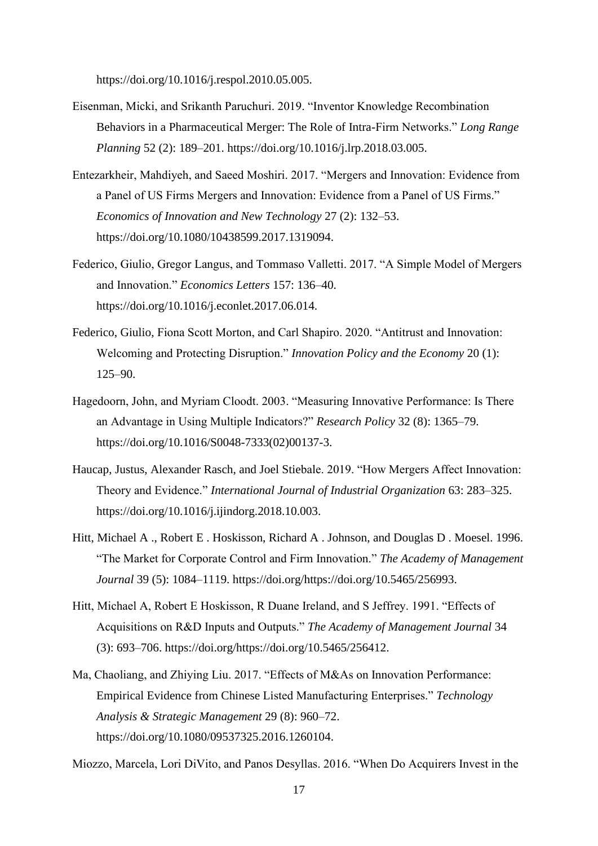https://doi.org/10.1016/j.respol.2010.05.005.

- Eisenman, Micki, and Srikanth Paruchuri. 2019. "Inventor Knowledge Recombination Behaviors in a Pharmaceutical Merger: The Role of Intra-Firm Networks." *Long Range Planning* 52 (2): 189–201. https://doi.org/10.1016/j.lrp.2018.03.005.
- Entezarkheir, Mahdiyeh, and Saeed Moshiri. 2017. "Mergers and Innovation: Evidence from a Panel of US Firms Mergers and Innovation: Evidence from a Panel of US Firms." *Economics of Innovation and New Technology* 27 (2): 132–53. https://doi.org/10.1080/10438599.2017.1319094.
- Federico, Giulio, Gregor Langus, and Tommaso Valletti. 2017. "A Simple Model of Mergers and Innovation." *Economics Letters* 157: 136–40. https://doi.org/10.1016/j.econlet.2017.06.014.
- Federico, Giulio, Fiona Scott Morton, and Carl Shapiro. 2020. "Antitrust and Innovation: Welcoming and Protecting Disruption." *Innovation Policy and the Economy* 20 (1): 125–90.
- Hagedoorn, John, and Myriam Cloodt. 2003. "Measuring Innovative Performance: Is There an Advantage in Using Multiple Indicators?" *Research Policy* 32 (8): 1365–79. https://doi.org/10.1016/S0048-7333(02)00137-3.
- Haucap, Justus, Alexander Rasch, and Joel Stiebale. 2019. "How Mergers Affect Innovation: Theory and Evidence." *International Journal of Industrial Organization* 63: 283–325. https://doi.org/10.1016/j.ijindorg.2018.10.003.
- Hitt, Michael A ., Robert E . Hoskisson, Richard A . Johnson, and Douglas D . Moesel. 1996. "The Market for Corporate Control and Firm Innovation." *The Academy of Management Journal* 39 (5): 1084–1119. https://doi.org/https://doi.org/10.5465/256993.
- Hitt, Michael A, Robert E Hoskisson, R Duane Ireland, and S Jeffrey. 1991. "Effects of Acquisitions on R&D Inputs and Outputs." *The Academy of Management Journal* 34 (3): 693–706. https://doi.org/https://doi.org/10.5465/256412.
- Ma, Chaoliang, and Zhiying Liu. 2017. "Effects of M&As on Innovation Performance: Empirical Evidence from Chinese Listed Manufacturing Enterprises." *Technology Analysis & Strategic Management* 29 (8): 960–72. https://doi.org/10.1080/09537325.2016.1260104.

Miozzo, Marcela, Lori DiVito, and Panos Desyllas. 2016. "When Do Acquirers Invest in the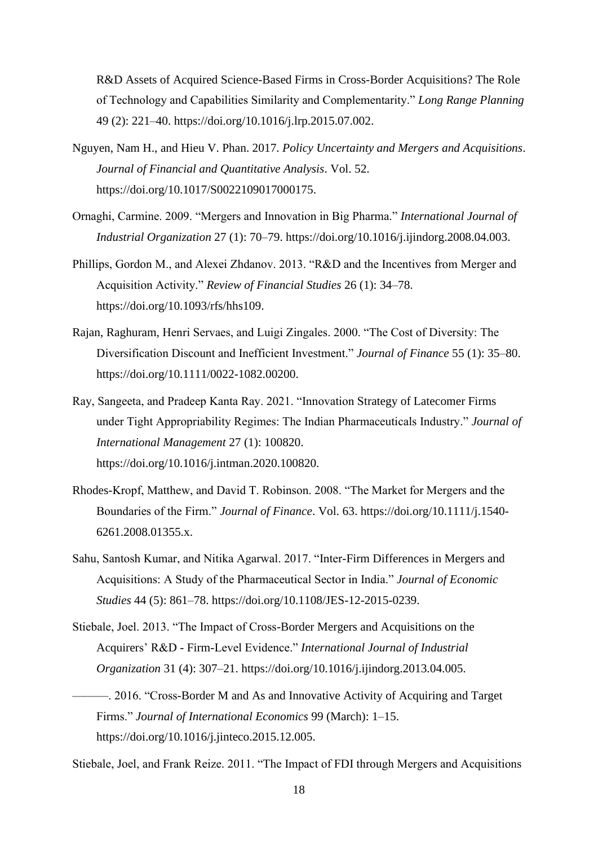R&D Assets of Acquired Science-Based Firms in Cross-Border Acquisitions? The Role of Technology and Capabilities Similarity and Complementarity." *Long Range Planning* 49 (2): 221–40. https://doi.org/10.1016/j.lrp.2015.07.002.

- Nguyen, Nam H., and Hieu V. Phan. 2017. *Policy Uncertainty and Mergers and Acquisitions*. *Journal of Financial and Quantitative Analysis*. Vol. 52. https://doi.org/10.1017/S0022109017000175.
- Ornaghi, Carmine. 2009. "Mergers and Innovation in Big Pharma." *International Journal of Industrial Organization* 27 (1): 70–79. https://doi.org/10.1016/j.ijindorg.2008.04.003.
- Phillips, Gordon M., and Alexei Zhdanov. 2013. "R&D and the Incentives from Merger and Acquisition Activity." *Review of Financial Studies* 26 (1): 34–78. https://doi.org/10.1093/rfs/hhs109.
- Rajan, Raghuram, Henri Servaes, and Luigi Zingales. 2000. "The Cost of Diversity: The Diversification Discount and Inefficient Investment." *Journal of Finance* 55 (1): 35–80. https://doi.org/10.1111/0022-1082.00200.
- Ray, Sangeeta, and Pradeep Kanta Ray. 2021. "Innovation Strategy of Latecomer Firms under Tight Appropriability Regimes: The Indian Pharmaceuticals Industry." *Journal of International Management* 27 (1): 100820. https://doi.org/10.1016/j.intman.2020.100820.
- Rhodes-Kropf, Matthew, and David T. Robinson. 2008. "The Market for Mergers and the Boundaries of the Firm." *Journal of Finance*. Vol. 63. https://doi.org/10.1111/j.1540- 6261.2008.01355.x.
- Sahu, Santosh Kumar, and Nitika Agarwal. 2017. "Inter-Firm Differences in Mergers and Acquisitions: A Study of the Pharmaceutical Sector in India." *Journal of Economic Studies* 44 (5): 861–78. https://doi.org/10.1108/JES-12-2015-0239.
- Stiebale, Joel. 2013. "The Impact of Cross-Border Mergers and Acquisitions on the Acquirers' R&D - Firm-Level Evidence." *International Journal of Industrial Organization* 31 (4): 307–21. https://doi.org/10.1016/j.ijindorg.2013.04.005.
- ———. 2016. "Cross-Border M and As and Innovative Activity of Acquiring and Target Firms." *Journal of International Economics* 99 (March): 1–15. https://doi.org/10.1016/j.jinteco.2015.12.005.

Stiebale, Joel, and Frank Reize. 2011. "The Impact of FDI through Mergers and Acquisitions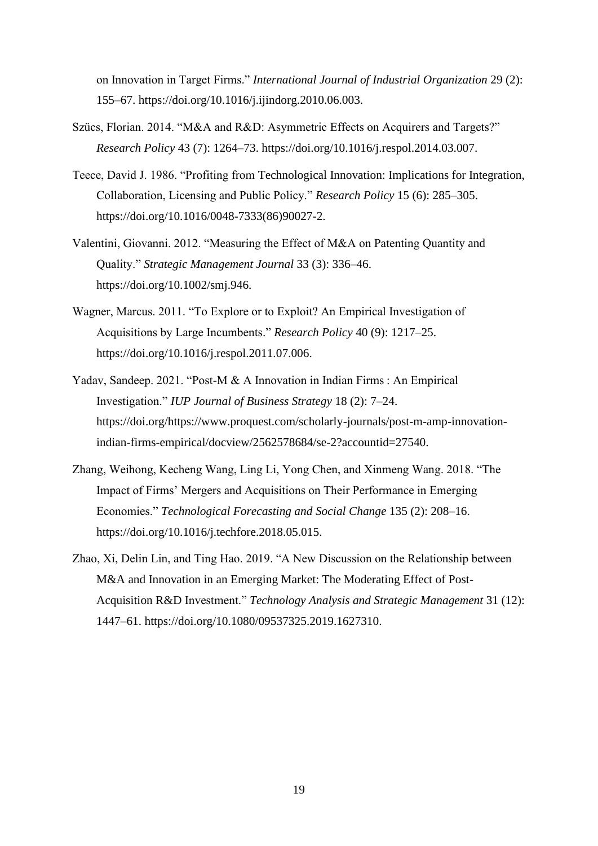on Innovation in Target Firms." *International Journal of Industrial Organization* 29 (2): 155–67. https://doi.org/10.1016/j.ijindorg.2010.06.003.

- Szücs, Florian. 2014. "M&A and R&D: Asymmetric Effects on Acquirers and Targets?" *Research Policy* 43 (7): 1264–73. https://doi.org/10.1016/j.respol.2014.03.007.
- Teece, David J. 1986. "Profiting from Technological Innovation: Implications for Integration, Collaboration, Licensing and Public Policy." *Research Policy* 15 (6): 285–305. https://doi.org/10.1016/0048-7333(86)90027-2.
- Valentini, Giovanni. 2012. "Measuring the Effect of M&A on Patenting Quantity and Quality." *Strategic Management Journal* 33 (3): 336–46. https://doi.org/10.1002/smj.946.
- Wagner, Marcus. 2011. "To Explore or to Exploit? An Empirical Investigation of Acquisitions by Large Incumbents." *Research Policy* 40 (9): 1217–25. https://doi.org/10.1016/j.respol.2011.07.006.
- Yadav, Sandeep. 2021. "Post-M & A Innovation in Indian Firms : An Empirical Investigation." *IUP Journal of Business Strategy* 18 (2): 7–24. https://doi.org/https://www.proquest.com/scholarly-journals/post-m-amp-innovationindian-firms-empirical/docview/2562578684/se-2?accountid=27540.
- Zhang, Weihong, Kecheng Wang, Ling Li, Yong Chen, and Xinmeng Wang. 2018. "The Impact of Firms' Mergers and Acquisitions on Their Performance in Emerging Economies." *Technological Forecasting and Social Change* 135 (2): 208–16. https://doi.org/10.1016/j.techfore.2018.05.015.
- Zhao, Xi, Delin Lin, and Ting Hao. 2019. "A New Discussion on the Relationship between M&A and Innovation in an Emerging Market: The Moderating Effect of Post-Acquisition R&D Investment." *Technology Analysis and Strategic Management* 31 (12): 1447–61. https://doi.org/10.1080/09537325.2019.1627310.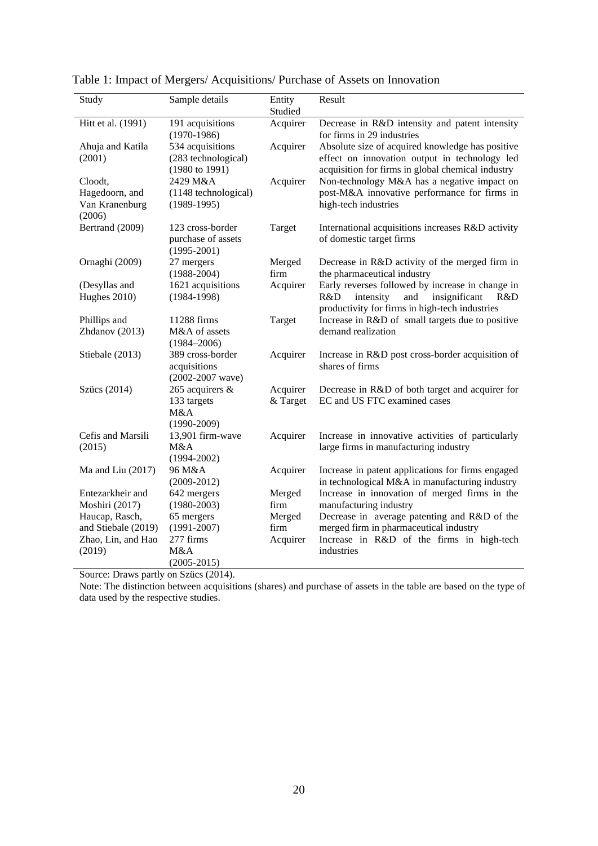| Study                      | Sample details                                                       | Entity   | Result                                                                                                                                                 |
|----------------------------|----------------------------------------------------------------------|----------|--------------------------------------------------------------------------------------------------------------------------------------------------------|
|                            |                                                                      | Studied  |                                                                                                                                                        |
| Hitt et al. (1991)         | 191 acquisitions                                                     | Acquirer | Decrease in R&D intensity and patent intensity                                                                                                         |
|                            | $(1970-1986)$                                                        |          | for firms in 29 industries                                                                                                                             |
| Ahuja and Katila<br>(2001) | 534 acquisitions<br>(283 technological)<br>$(1980 \text{ to } 1991)$ | Acquirer | Absolute size of acquired knowledge has positive<br>effect on innovation output in technology led<br>acquisition for firms in global chemical industry |
| Cloodt,                    | 2429 M&A                                                             | Acquirer | Non-technology M&A has a negative impact on                                                                                                            |
| Hagedoorn, and             | (1148 technological)                                                 |          | post-M&A innovative performance for firms in                                                                                                           |
| Van Kranenburg<br>(2006)   | $(1989-1995)$                                                        |          | high-tech industries                                                                                                                                   |
| Bertrand (2009)            | 123 cross-border                                                     | Target   | International acquisitions increases R&D activity                                                                                                      |
|                            | purchase of assets<br>$(1995 - 2001)$                                |          | of domestic target firms                                                                                                                               |
| Ornaghi (2009)             | 27 mergers                                                           | Merged   | Decrease in R&D activity of the merged firm in                                                                                                         |
|                            | $(1988 - 2004)$                                                      | firm     | the pharmaceutical industry                                                                                                                            |
| (Desyllas and              | 1621 acquisitions                                                    | Acquirer | Early reverses followed by increase in change in                                                                                                       |
| Hughes 2010)               | $(1984 - 1998)$                                                      |          | R&D<br>insignificant<br>intensity<br>and<br>R&D<br>productivity for firms in high-tech industries                                                      |
| Phillips and               | 11288 firms                                                          | Target   | Increase in R&D of small targets due to positive                                                                                                       |
| Zhdanov (2013)             | M&A of assets                                                        |          | demand realization                                                                                                                                     |
|                            | $(1984 - 2006)$                                                      |          |                                                                                                                                                        |
| Stiebale (2013)            | 389 cross-border                                                     | Acquirer | Increase in R&D post cross-border acquisition of                                                                                                       |
|                            | acquisitions                                                         |          | shares of firms                                                                                                                                        |
|                            | $(2002 - 2007$ wave)                                                 |          |                                                                                                                                                        |
| Szücs (2014)               | 265 acquirers &                                                      | Acquirer | Decrease in R&D of both target and acquirer for                                                                                                        |
|                            | 133 targets                                                          | & Target | EC and US FTC examined cases                                                                                                                           |
|                            | M&A                                                                  |          |                                                                                                                                                        |
|                            | $(1990 - 2009)$                                                      |          |                                                                                                                                                        |
| Cefis and Marsili          | 13,901 firm-wave                                                     | Acquirer | Increase in innovative activities of particularly                                                                                                      |
| (2015)                     | M&A                                                                  |          | large firms in manufacturing industry                                                                                                                  |
|                            | $(1994 - 2002)$                                                      |          |                                                                                                                                                        |
| Ma and Liu (2017)          | 96 M&A                                                               | Acquirer | Increase in patent applications for firms engaged                                                                                                      |
|                            | $(2009 - 2012)$                                                      |          | in technological M&A in manufacturing industry                                                                                                         |
| Entezarkheir and           | 642 mergers                                                          | Merged   | Increase in innovation of merged firms in the                                                                                                          |
| Moshiri (2017)             | $(1980 - 2003)$                                                      | firm     | manufacturing industry                                                                                                                                 |
| Haucap, Rasch,             | 65 mergers                                                           | Merged   | Decrease in average patenting and R&D of the                                                                                                           |
| and Stiebale (2019)        | $(1991 - 2007)$                                                      | firm     | merged firm in pharmaceutical industry                                                                                                                 |
| Zhao, Lin, and Hao         | 277 firms                                                            | Acquirer | Increase in R&D of the firms in high-tech                                                                                                              |
| (2019)                     | M&A                                                                  |          | industries                                                                                                                                             |
|                            | $(2005 - 2015)$                                                      |          |                                                                                                                                                        |

Table 1: Impact of Mergers/ Acquisitions/ Purchase of Assets on Innovation

Source: Draws partly on Szücs (2014).

Note: The distinction between acquisitions (shares) and purchase of assets in the table are based on the type of data used by the respective studies.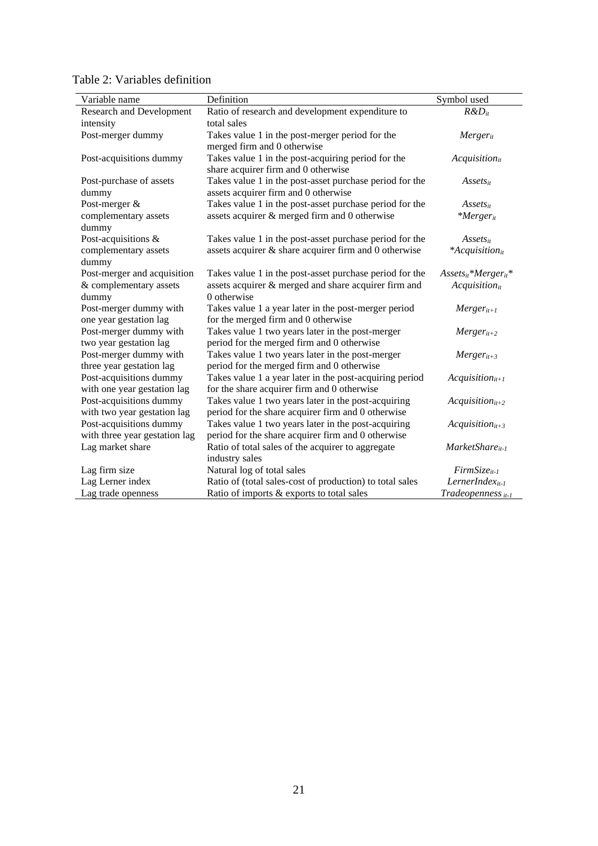| Variable name                   | Definition                                               | Symbol used                |
|---------------------------------|----------------------------------------------------------|----------------------------|
| <b>Research and Development</b> | Ratio of research and development expenditure to         | $R\&D_{it}$                |
| intensity                       | total sales                                              |                            |
| Post-merger dummy               | Takes value 1 in the post-merger period for the          | Mergerit                   |
|                                 | merged firm and 0 otherwise                              |                            |
| Post-acquisitions dummy         | Takes value 1 in the post-acquiring period for the       | $Acquistion_{it}$          |
|                                 | share acquirer firm and 0 otherwise                      |                            |
| Post-purchase of assets         | Takes value 1 in the post-asset purchase period for the  | $Assets_{it}$              |
| dummy                           | assets acquirer firm and 0 otherwise                     |                            |
| Post-merger &                   | Takes value 1 in the post-asset purchase period for the  | $Assets_{it}$              |
| complementary assets            | assets acquirer & merged firm and 0 otherwise            | $*Merger_{it}$             |
| dummy                           |                                                          |                            |
| Post-acquisitions &             | Takes value 1 in the post-asset purchase period for the  | $Assets_{it}$              |
| complementary assets            | assets acquirer & share acquirer firm and 0 otherwise    | $*Acquistion_{it}$         |
| dummy                           |                                                          |                            |
| Post-merger and acquisition     | Takes value 1 in the post-asset purchase period for the  | $Assets_{it}*Merger_{it}*$ |
| & complementary assets          | assets acquirer & merged and share acquirer firm and     | Acquistion <sub>it</sub>   |
| dummy                           | 0 otherwise                                              |                            |
| Post-merger dummy with          | Takes value 1 a year later in the post-merger period     | $Merger_{it+1}$            |
| one year gestation lag          | for the merged firm and 0 otherwise                      |                            |
| Post-merger dummy with          | Takes value 1 two years later in the post-merger         | $Merger_{it+2}$            |
| two year gestation lag          | period for the merged firm and 0 otherwise               |                            |
| Post-merger dummy with          | Takes value 1 two years later in the post-merger         | $Merger_{it+3}$            |
| three year gestation lag        | period for the merged firm and 0 otherwise               |                            |
| Post-acquisitions dummy         | Takes value 1 a year later in the post-acquiring period  | $Acquistionit+1$           |
| with one year gestation lag     | for the share acquirer firm and 0 otherwise              |                            |
| Post-acquisitions dummy         | Takes value 1 two years later in the post-acquiring      | $Acquistionit+2$           |
| with two year gestation lag     | period for the share acquirer firm and 0 otherwise       |                            |
| Post-acquisitions dummy         | Takes value 1 two years later in the post-acquiring      | $Acquistion_{it+3}$        |
| with three year gestation lag   | period for the share acquirer firm and 0 otherwise       |                            |
| Lag market share                | Ratio of total sales of the acquirer to aggregate        | $MarketShare_{it-1}$       |
|                                 | industry sales                                           |                            |
| Lag firm size                   | Natural log of total sales                               | $FirmSize_{it-1}$          |
| Lag Lerner index                | Ratio of (total sales-cost of production) to total sales | LernerIndex $_{it-1}$      |
| Lag trade openness              | Ratio of imports & exports to total sales                | Tradeopenness $_{it-1}$    |

Table 2: Variables definition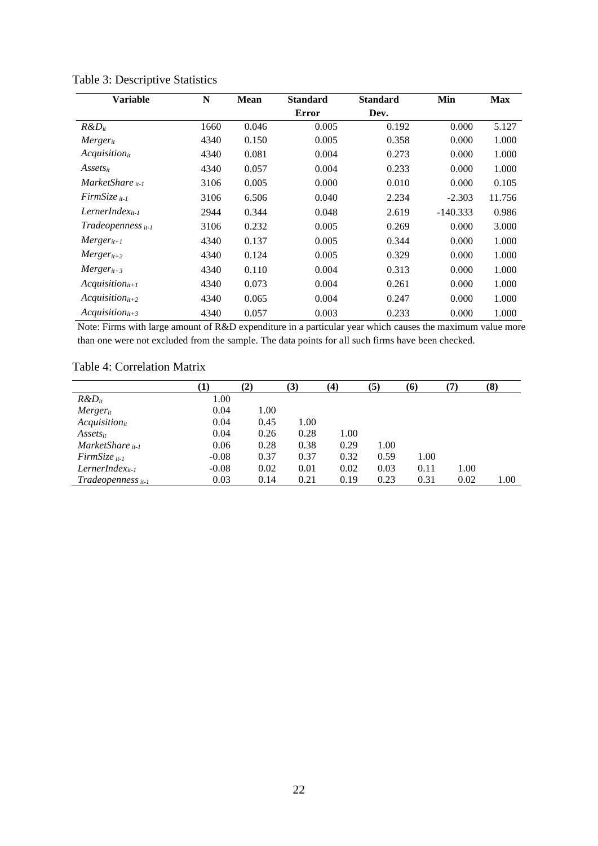| <b>Variable</b>               | N    | <b>Mean</b><br><b>Standard</b><br><b>Standard</b> |              |       | Min        | <b>Max</b> |
|-------------------------------|------|---------------------------------------------------|--------------|-------|------------|------------|
|                               |      |                                                   | <b>Error</b> | Dev.  |            |            |
| $R\&D_{it}$                   | 1660 | 0.046                                             | 0.005        | 0.192 | 0.000      | 5.127      |
| Mergerit                      | 4340 | 0.150                                             | 0.005        | 0.358 | 0.000      | 1.000      |
| $Acquistion_{it}$             | 4340 | 0.081                                             | 0.004        | 0.273 | 0.000      | 1.000      |
| $Assets_{it}$                 | 4340 | 0.057                                             | 0.004        | 0.233 | 0.000      | 1.000      |
| MarketShare $\mu$ -1          | 3106 | 0.005                                             | 0.000        | 0.010 | 0.000      | 0.105      |
| $FirmSize_{it-1}$             | 3106 | 6.506                                             | 0.040        | 2.234 | $-2.303$   | 11.756     |
| $LernerIndex_{it-1}$          | 2944 | 0.344                                             | 0.048        | 2.619 | $-140.333$ | 0.986      |
| Tradeopenness <sub>it-1</sub> | 3106 | 0.232                                             | 0.005        | 0.269 | 0.000      | 3.000      |
| $Merger_{it+1}$               | 4340 | 0.137                                             | 0.005        | 0.344 | 0.000      | 1.000      |
| $Merger_{it+2}$               | 4340 | 0.124                                             | 0.005        | 0.329 | 0.000      | 1.000      |
| $Merger_{it+3}$               | 4340 | 0.110                                             | 0.004        | 0.313 | 0.000      | 1.000      |
| $Acquistionit+1$              | 4340 | 0.073                                             | 0.004        | 0.261 | 0.000      | 1.000      |
| $Acquistionit+2$              | 4340 | 0.065                                             | 0.004        | 0.247 | 0.000      | 1.000      |
| $Acquistion_{it+3}$           | 4340 | 0.057                                             | 0.003        | 0.233 | 0.000      | 1.000      |

Table 3: Descriptive Statistics

Note: Firms with large amount of R&D expenditure in a particular year which causes the maximum value more than one were not excluded from the sample. The data points for all such firms have been checked.

# Table 4: Correlation Matrix

|                       | $\bf(1)$ | (2)  | (3)  | (4)  | (5)  | (6)  |      | (8)  |
|-----------------------|----------|------|------|------|------|------|------|------|
| $R\&D_{it}$           | 1.00     |      |      |      |      |      |      |      |
| $Merger_{it}$         | 0.04     | 1.00 |      |      |      |      |      |      |
| $Acquistion_{it}$     | 0.04     | 0.45 | 1.00 |      |      |      |      |      |
| $Assets_{it}$         | 0.04     | 0.26 | 0.28 | 1.00 |      |      |      |      |
| MarketShare $i_{t-1}$ | 0.06     | 0.28 | 0.38 | 0.29 | 1.00 |      |      |      |
| $FirmSize_{it-1}$     | $-0.08$  | 0.37 | 0.37 | 0.32 | 0.59 | 1.00 |      |      |
| $LernerIndex_{it-1}$  | $-0.08$  | 0.02 | 0.01 | 0.02 | 0.03 | 0.11 | 1.00 |      |
| $Tradeopennesit-1$    | 0.03     | 0.14 | 0.21 | 0.19 | 0.23 | 0.31 | 0.02 | 1.00 |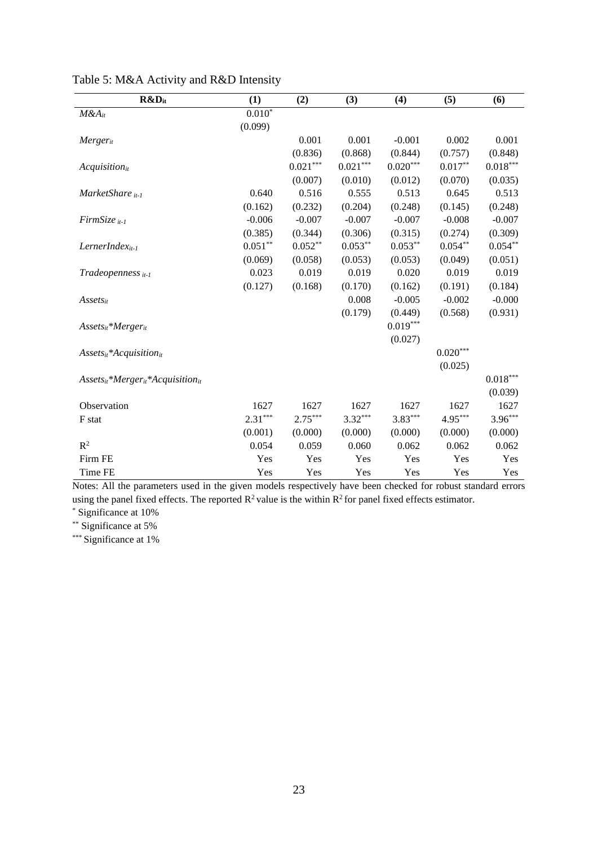| R&D <sub>it</sub>                            | (1)       | (2)        | (3)        | (4)        | (5)        | (6)                    |
|----------------------------------------------|-----------|------------|------------|------------|------------|------------------------|
| $M&A_{it}$                                   | $0.010*$  |            |            |            |            |                        |
|                                              | (0.099)   |            |            |            |            |                        |
| <b>Merger</b> <sub>it</sub>                  |           | 0.001      | 0.001      | $-0.001$   | 0.002      | 0.001                  |
|                                              |           | (0.836)    | (0.868)    | (0.844)    | (0.757)    | (0.848)                |
| $Acquistion_{it}$                            |           | $0.021***$ | $0.021***$ | $0.020***$ | $0.017**$  | $0.018***$             |
|                                              |           | (0.007)    | (0.010)    | (0.012)    | (0.070)    | (0.035)                |
| MarketShare it-1                             | 0.640     | 0.516      | 0.555      | 0.513      | 0.645      | 0.513                  |
|                                              | (0.162)   | (0.232)    | (0.204)    | (0.248)    | (0.145)    | (0.248)                |
| $FirmSize_{it-1}$                            | $-0.006$  | $-0.007$   | $-0.007$   | $-0.007$   | $-0.008$   | $-0.007$               |
|                                              | (0.385)   | (0.344)    | (0.306)    | (0.315)    | (0.274)    | (0.309)                |
| $LernerIndex_{it-1}$                         | $0.051**$ | $0.052**$  | $0.053***$ | $0.053**$  | $0.054***$ | $0.054**$              |
|                                              | (0.069)   | (0.058)    | (0.053)    | (0.053)    | (0.049)    | (0.051)                |
| Tradeopenness it-1                           | 0.023     | 0.019      | 0.019      | 0.020      | 0.019      | 0.019                  |
|                                              | (0.127)   | (0.168)    | (0.170)    | (0.162)    | (0.191)    | (0.184)                |
| $Assets_{it}$                                |           |            | 0.008      | $-0.005$   | $-0.002$   | $-0.000$               |
|                                              |           |            | (0.179)    | (0.449)    | (0.568)    | (0.931)                |
| $Assets_{it}*Merger_{it}$                    |           |            |            | $0.019***$ |            |                        |
|                                              |           |            |            | (0.027)    |            |                        |
| $Assets_{it}^*Acquisition_{it}$              |           |            |            |            | $0.020***$ |                        |
|                                              |           |            |            |            | (0.025)    |                        |
| $Assets_{it}^*Merger_{it}^*Acquisition_{it}$ |           |            |            |            |            | $0.018^{\ast\ast\ast}$ |
|                                              |           |            |            |            |            | (0.039)                |
| Observation                                  | 1627      | 1627       | 1627       | 1627       | 1627       | 1627                   |
| F stat                                       | $2.31***$ | $2.75***$  | $3.32***$  | $3.83***$  | $4.95***$  | $3.96***$              |
|                                              | (0.001)   | (0.000)    | (0.000)    | (0.000)    | (0.000)    | (0.000)                |
| $R^2$                                        | 0.054     | 0.059      | 0.060      | 0.062      | 0.062      | 0.062                  |
| Firm FE                                      | Yes       | Yes        | Yes        | Yes        | Yes        | Yes                    |
| Time FE                                      | Yes       | Yes        | Yes        | Yes        | Yes        | Yes                    |

Table 5: M&A Activity and R&D Intensity

Notes: All the parameters used in the given models respectively have been checked for robust standard errors using the panel fixed effects. The reported  $\mathbb{R}^2$  value is the within  $\mathbb{R}^2$  for panel fixed effects estimator.

\* Significance at 10%

\*\* Significance at 5%

\*\*\* Significance at 1%